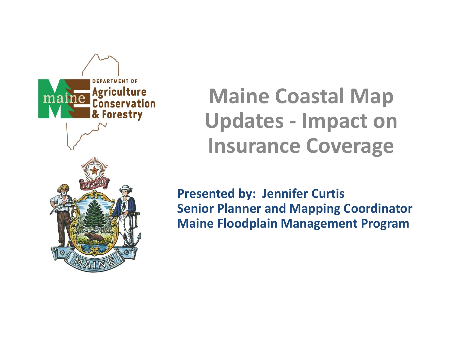

**Maine Coastal Map Updates ‐ Impact on Insurance Coverage**

**Presented by: Jennifer Curtis Senior Planner and Mapping Coordinator Maine Floodplain Management Program**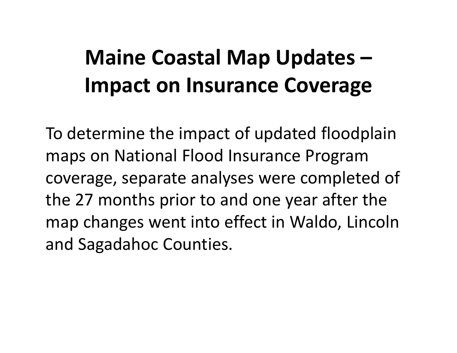### **Maine Coastal Map Updates – Impact on Insurance Coverage**

To determine the impact of updated floodplain maps on National Flood Insurance Program coverage, separate analyses were completed of the 27 months prior to and one year after the map changes went into effect in Waldo, Lincoln and Sagadahoc Counties.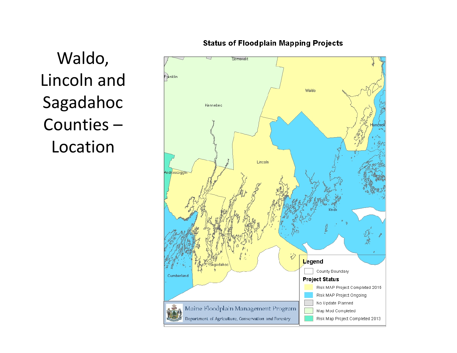Waldo, Lincoln and Sagadahoc Counties –Location



**Status of Floodplain Mapping Projects**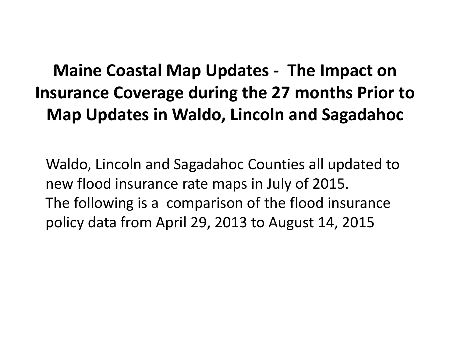#### **Maine Coastal Map Updates ‐ The Impact on Insurance Coverage during the 27 months Prior to Map Updates in Waldo, Lincoln and Sagadahoc**

Waldo, Lincoln and Sagadahoc Counties all updated to new flood insurance rate maps in July of 2015. The following is <sup>a</sup> comparison of the flood insurance policy data from April 29, 2013 to August 14, 2015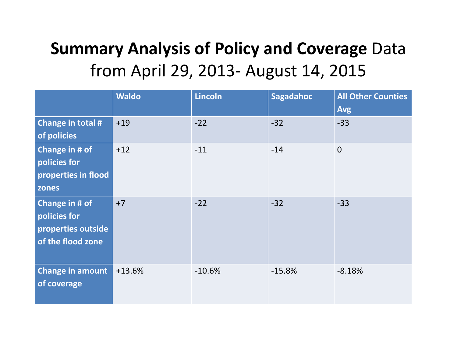#### **Summary Analysis of Policy and Coverage** Data from April 29, 2013‐ August 14, 2015

|                                                                           | <b>Waldo</b> | <b>Lincoln</b> | Sagadahoc | <b>All Other Counties</b><br><b>Avg</b> |
|---------------------------------------------------------------------------|--------------|----------------|-----------|-----------------------------------------|
| Change in total #<br>of policies                                          | $+19$        | $-22$          | $-32$     | $-33$                                   |
| Change in # of<br>policies for<br>properties in flood<br>zones            | $+12$        | $-11$          | $-14$     | $\overline{0}$                          |
| Change in # of<br>policies for<br>properties outside<br>of the flood zone | $+7$         | $-22$          | $-32$     | $-33$                                   |
| <b>Change in amount</b><br>of coverage                                    | $+13.6%$     | $-10.6%$       | $-15.8%$  | $-8.18%$                                |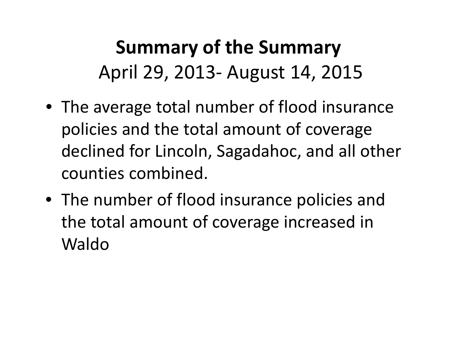### **Summary of the Summary** April 29, 2013‐ August 14, 2015

- The average total number of flood insurance policies and the total amount of coverage declined for Lincoln, Sagadahoc, and all other counties combined.
- The number of flood insurance policies and the total amount of coverage increased in Waldo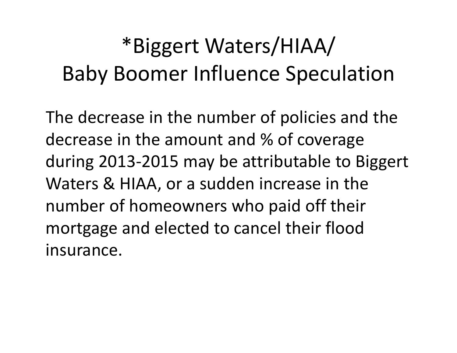# \*Biggert Waters/HIAA/ Baby Boomer Influence Speculation

The decrease in the number of policies and the decrease in the amount and % of coverage during 2013‐2015 may be attributable to Biggert Waters & HIAA, or <sup>a</sup> sudden increase in the number of homeowners who paid off their mortgage and elected to cancel their flood insurance.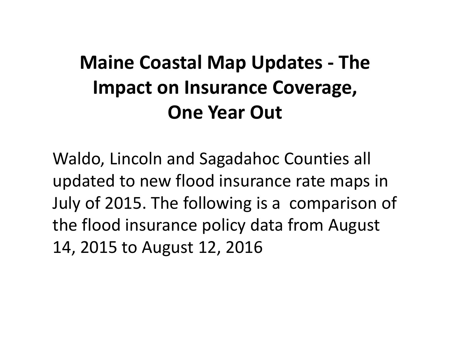#### **Maine Coastal Map Updates ‐ The Impact on Insurance Coverage, One Year Out**

Waldo, Lincoln and Sagadahoc Counties all updated to new flood insurance rate maps in July of 2015. The following is <sup>a</sup> comparison of the flood insurance policy data from August 14, 2015 to August 12, 2016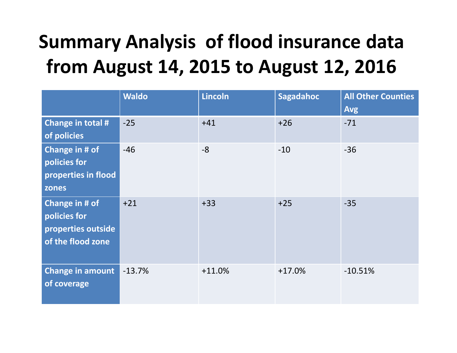### **Summary Analysis of flood insurance data from August 14, 2015 to August 12, 2016**

|                                                                           | <b>Waldo</b> | <b>Lincoln</b> | Sagadahoc | <b>All Other Counties</b><br><b>Avg</b> |
|---------------------------------------------------------------------------|--------------|----------------|-----------|-----------------------------------------|
| Change in total #<br>of policies                                          | $-25$        | $+41$          | $+26$     | $-71$                                   |
| Change in # of<br>policies for<br>properties in flood<br>zones            | $-46$        | $-8$           | $-10$     | $-36$                                   |
| Change in # of<br>policies for<br>properties outside<br>of the flood zone | $+21$        | $+33$          | $+25$     | $-35$                                   |
| <b>Change in amount</b><br>of coverage                                    | $-13.7%$     | $+11.0%$       | $+17.0%$  | $-10.51%$                               |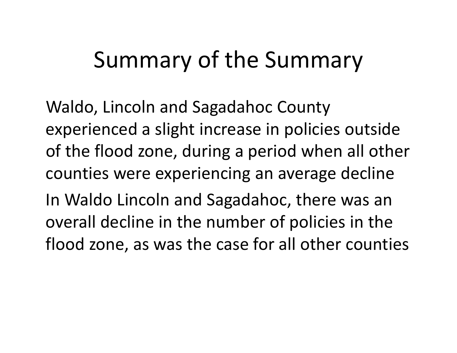## Summary of the Summary

Waldo, Lincoln and Sagadahoc County experienced <sup>a</sup> slight increase in policies outside of the flood zone, during <sup>a</sup> period when all other counties were experiencing an average decline In Waldo Lincoln and Sagadahoc, there was an overall decline in the number of policies in the flood zone, as was the case for all other counties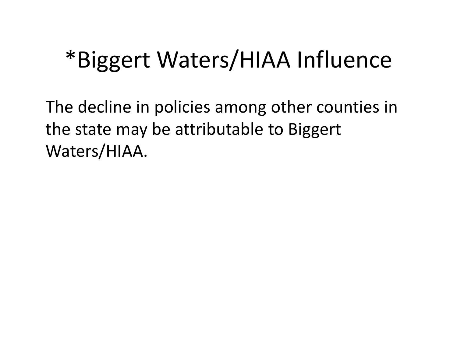# \*Biggert Waters/HIAA Influence

The decline in policies among other counties in the state may be attributable to Biggert Waters/HIAA.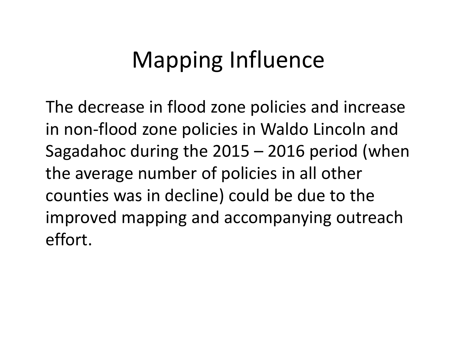# Mapping Influence

The decrease in flood zone policies and increase in non‐flood zone policies in Waldo Lincoln and Sagadahoc during the 2015 – 2016 period (when the average number of policies in all other counties was in decline) could be due to the improved mapping and accompanying outreach effort.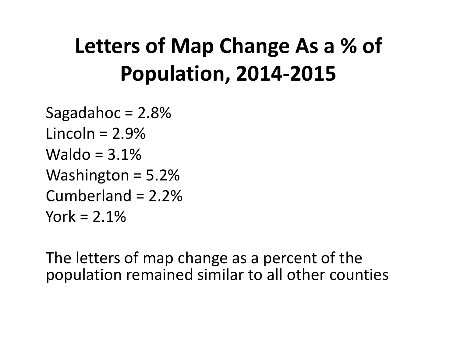## **Letters of Map Change As <sup>a</sup> % of Population, 2014‐2015**

Sagadahoc  $= 2.8\%$ Lincoln <sup>=</sup> 2.9%Waldo <sup>=</sup> 3.1%Washington  $= 5.2\%$ Cumberland <sup>=</sup> 2.2%York <sup>=</sup> 2.1%

The letters of map change as <sup>a</sup> percent of the population remained similar to all other counties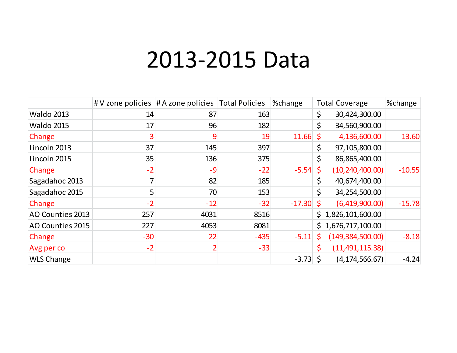### 2013‐2015 Data

|                   |       | $\#V$ zone policies $\#A$ zone policies Total Policies |        | %change  |     | <b>Total Coverage</b> | %change  |
|-------------------|-------|--------------------------------------------------------|--------|----------|-----|-----------------------|----------|
| <b>Waldo 2013</b> | 14    | 87                                                     | 163    |          | \$  | 30,424,300.00         |          |
| <b>Waldo 2015</b> | 17    | 96                                                     | 182    |          | \$  | 34,560,900.00         |          |
| Change            |       | 9                                                      | 19     | 11.66    | \$  | 4,136,600.00          | 13.60    |
| Lincoln 2013      | 37    | 145                                                    | 397    |          | \$  | 97,105,800.00         |          |
| Lincoln 2015      | 35    | 136                                                    | 375    |          | \$  | 86,865,400.00         |          |
| Change            | $-2$  | $-9$                                                   | $-22$  | $-5.54$  | \$  | (10, 240, 400.00)     | $-10.55$ |
| Sagadahoc 2013    |       | 82                                                     | 185    |          | \$  | 40,674,400.00         |          |
| Sagadahoc 2015    | 5     | 70                                                     | 153    |          | \$  | 34,254,500.00         |          |
| Change            | $-2$  | $-12$                                                  | $-32$  | $-17.30$ | \$  | (6,419,900.00)        | $-15.78$ |
| AO Counties 2013  | 257   | 4031                                                   | 8516   |          |     | \$1,826,101,600.00    |          |
| AO Counties 2015  | 227   | 4053                                                   | 8081   |          |     | \$1,676,717,100.00    |          |
| Change            | $-30$ | 22                                                     | $-435$ | $-5.11$  | \$. | (149, 384, 500.00)    | $-8.18$  |
| Avg per co        | $-2$  |                                                        | $-33$  |          |     | (11, 491, 115.38)     |          |
| <b>WLS Change</b> |       |                                                        |        | $-3.73$  | Š.  | (4, 174, 566.67)      | $-4.24$  |